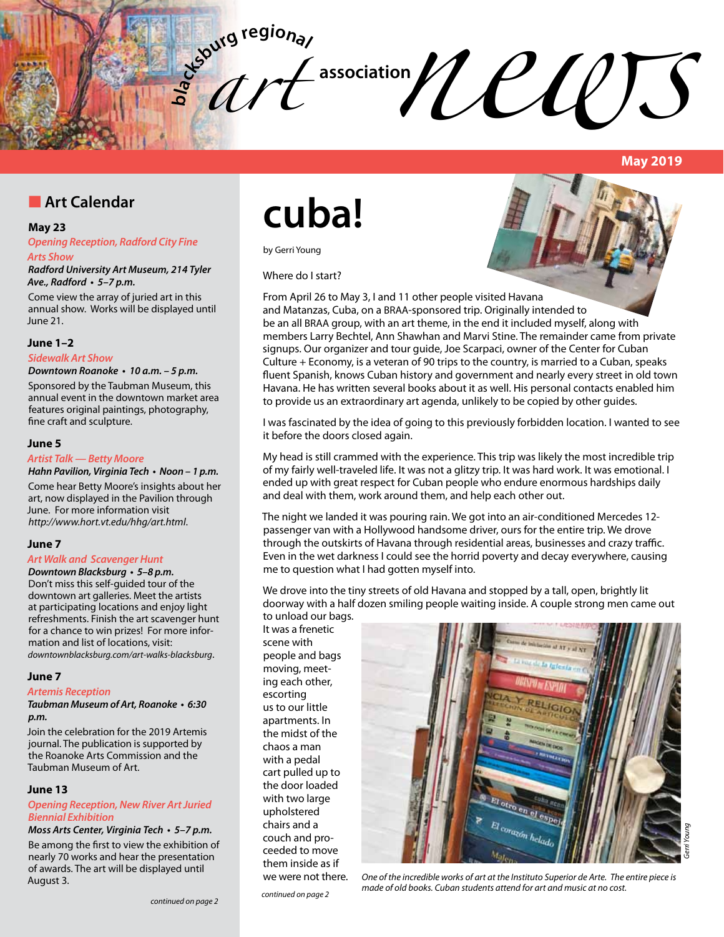

# $\sim$  association  $\mathcal{U}$   $\mathcal{U}$   $\mathcal{U}$   $\mathcal{U}$   $\mathcal{V}$

**May 2019**

*Gerri Young*

# **n** Art Calendar

#### **May 23**

*Opening Reception, Radford City Fine Arts Show*

*Radford University Art Museum, 214 Tyler*  **Ave., Radford • 5–7 p.m.**

Come view the array of juried art in this annual show. Works will be displayed until June 21.

#### **June 1–2**

#### *Sidewalk Art Show*

**Downtown Roanoke • 10 a.m. – 5 p.m.**

Sponsored by the Taubman Museum, this annual event in the downtown market area features original paintings, photography, fine craft and sculpture.

#### **June 5**

#### *Artist Talk — Betty Moore*

**Hahn Pavilion, Virginia Tech • Noon – 1 p.m.**

Come hear Betty Moore's insights about her art, now displayed in the Pavilion through June. For more information visit *http://www.hort.vt.edu/hhg/art.html*.

#### **June 7**

#### *Art Walk and Scavenger Hunt*

**Downtown Blacksburg • 5–8 p.m.** Don't miss this self-guided tour of the downtown art galleries. Meet the artists at participating locations and enjoy light refreshments. Finish the art scavenger hunt for a chance to win prizes! For more information and list of locations, visit: *downtownblacksburg.com/art-walks-blacksburg*.

#### **June 7**

#### *Artemis Reception*

**Taubman Museum of Art, Roanoke • 6:30**  *p.m.*

Join the celebration for the 2019 Artemis journal. The publication is supported by the Roanoke Arts Commission and the Taubman Museum of Art.

#### **June 13**

#### **Opening Reception, New River Art Juried**  *Biennial Exhibition*

**Moss Arts Center, Virginia Tech • 5–7 p.m.**

Be among the first to view the exhibition of nearly 70 works and hear the presentation of awards. The art will be displayed until August 3.

# **cuba!**

by Gerri Young

Where do I start?



From April 26 to May 3, I and 11 other people visited Havana and Matanzas, Cuba, on a BRAA-sponsored trip. Originally intended to be an all BRAA group, with an art theme, in the end it included myself, along with members Larry Bechtel, Ann Shawhan and Marvi Stine. The remainder came from private signups. Our organizer and tour guide, Joe Scarpaci, owner of the Center for Cuban Culture + Economy, is a veteran of 90 trips to the country, is married to a Cuban, speaks fluent Spanish, knows Cuban history and government and nearly every street in old town Havana. He has written several books about it as well. His personal contacts enabled him to provide us an extraordinary art agenda, unlikely to be copied by other guides.

I was fascinated by the idea of going to this previously forbidden location. I wanted to see it before the doors closed again.

My head is still crammed with the experience. This trip was likely the most incredible trip of my fairly well-traveled life. It was not a glitzy trip. It was hard work. It was emotional. I ended up with great respect for Cuban people who endure enormous hardships daily and deal with them, work around them, and help each other out.

The night we landed it was pouring rain. We got into an air-conditioned Mercedes 12 passenger van with a Hollywood handsome driver, ours for the entire trip. We drove through the outskirts of Havana through residential areas, businesses and crazy traffic. Even in the wet darkness I could see the horrid poverty and decay everywhere, causing me to question what I had gotten myself into.

We drove into the tiny streets of old Havana and stopped by a tall, open, brightly lit doorway with a half dozen smiling people waiting inside. A couple strong men came out to unload our bags.

It was a frenetic scene with people and bags moving, meeting each other, escorting us to our little apartments. In the midst of the chaos a man with a pedal cart pulled up to the door loaded with two large upholstered chairs and a couch and proceeded to move them inside as if we were not there.



*continued on page 2 continued on page 2*

*One of the incredible works of art at the Instituto Superior de Arte. The entire piece is made of old books. Cuban students attend for art and music at no cost.*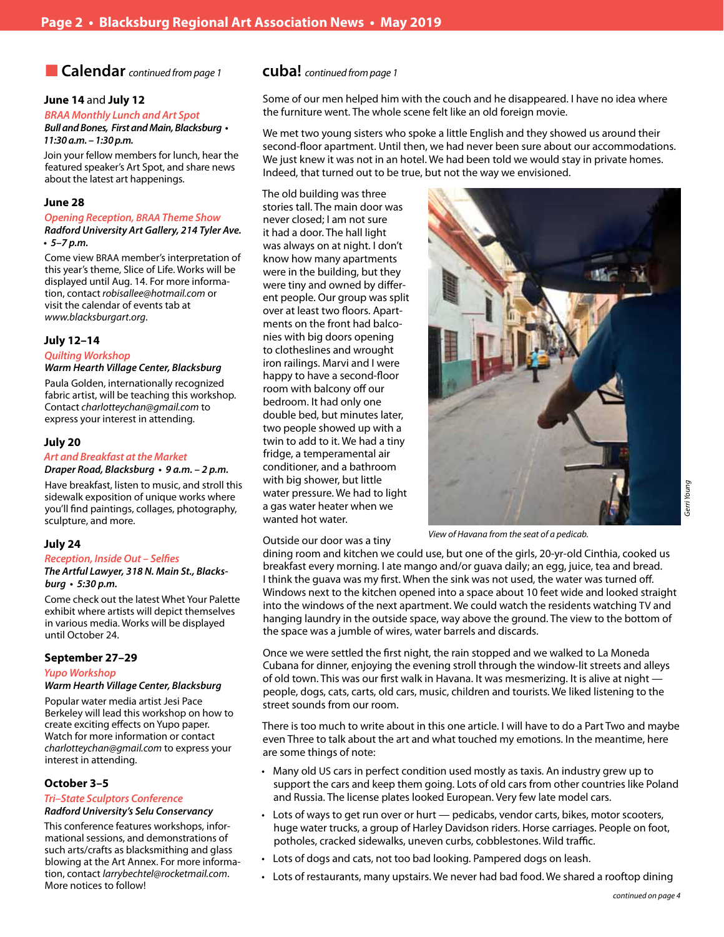# n **Calendar** *continued from page 1* **cuba!** *continued from page 1*

#### **June 14** and **July 12**

### *BRAA Monthly Lunch and Art Spot*

**Bull and Bones, First and Main, Blacksburg • 11:30 a.m. – 1:30 p.m.**

Join your fellow members for lunch, hear the featured speaker's Art Spot, and share news about the latest art happenings.

#### **June 28**

#### *Opening Reception, BRAA Theme Show Radford University Art Gallery, 214 Tyler Ave.*

**• 5–7 p.m.** 

Come view BRAA member's interpretation of this year's theme, Slice of Life. Works will be displayed until Aug. 14. For more information, contact *robisallee@hotmail.com* or visit the calendar of events tab at *www.blacksburgart.org*.

#### **July 12–14**

#### *Quilting Workshop*

#### *Warm Hearth Village Center, Blacksburg*

Paula Golden, internationally recognized fabric artist, will be teaching this workshop. Contact *charlotteychan@gmail.com* to express your interest in attending.

#### **July 20**

#### *Art and Breakfast at the Market*

**Draper Road, Blacksburg • 9 a.m. – 2 p.m.** 

Have breakfast, listen to music, and stroll this sidewalk exposition of unique works where you'll find paintings, collages, photography, sculpture, and more.

#### **July 24**

#### **Reception, Inside Out – Selfies**

**The Artful Lawyer, 318 N. Main St., Blacks****burg • 5:30 p.m.** 

Come check out the latest Whet Your Palette exhibit where artists will depict themselves in various media. Works will be displayed until October 24.

#### **September 27–29**

#### *Yupo Workshop*

#### *Warm Hearth Village Center, Blacksburg*

Popular water media artist Jesi Pace Berkeley will lead this workshop on how to create exciting effects on Yupo paper. Watch for more information or contact *charlotteychan@gmail.com* to express your interest in attending.

#### **October 3–5**

#### **Tri–State Sculptors Conference** *Radford University's Selu Conservancy*

This conference features workshops, informational sessions, and demonstrations of such arts/crafts as blacksmithing and glass blowing at the Art Annex. For more information, contact *larrybechtel@rocketmail.com*. More notices to follow!

Some of our men helped him with the couch and he disappeared. I have no idea where the furniture went. The whole scene felt like an old foreign movie.

We met two young sisters who spoke a little English and they showed us around their second-floor apartment. Until then, we had never been sure about our accommodations. We just knew it was not in an hotel. We had been told we would stay in private homes. Indeed, that turned out to be true, but not the way we envisioned.

The old building was three stories tall. The main door was never closed; I am not sure it had a door. The hall light was always on at night. I don't know how many apartments were in the building, but they were tiny and owned by different people. Our group was split over at least two floors. Apartments on the front had balconies with big doors opening to clotheslines and wrought iron railings. Marvi and I were happy to have a second-floor room with balcony off our bedroom. It had only one double bed, but minutes later, two people showed up with a twin to add to it. We had a tiny fridge, a temperamental air conditioner, and a bathroom with big shower, but little water pressure. We had to light a gas water heater when we wanted hot water.

Outside our door was a tiny



Young *Gerri Young*

*View of Havana from the seat of a pedicab.* 

dining room and kitchen we could use, but one of the girls, 20-yr-old Cinthia, cooked us breakfast every morning. I ate mango and/or guava daily; an egg, juice, tea and bread. I think the guava was my first. When the sink was not used, the water was turned off. Windows next to the kitchen opened into a space about 10 feet wide and looked straight into the windows of the next apartment. We could watch the residents watching TV and hanging laundry in the outside space, way above the ground. The view to the bottom of the space was a jumble of wires, water barrels and discards.

Once we were settled the first night, the rain stopped and we walked to La Moneda Cubana for dinner, enjoying the evening stroll through the window-lit streets and alleys of old town. This was our first walk in Havana. It was mesmerizing. It is alive at night people, dogs, cats, carts, old cars, music, children and tourists. We liked listening to the street sounds from our room.

There is too much to write about in this one article. I will have to do a Part Two and maybe even Three to talk about the art and what touched my emotions. In the meantime, here are some things of note:

- Many old US cars in perfect condition used mostly as taxis. An industry grew up to support the cars and keep them going. Lots of old cars from other countries like Poland and Russia. The license plates looked European. Very few late model cars.
- Lots of ways to get run over or hurt pedicabs, vendor carts, bikes, motor scooters, huge water trucks, a group of Harley Davidson riders. Horse carriages. People on foot, potholes, cracked sidewalks, uneven curbs, cobblestones. Wild traffic.
- Lots of dogs and cats, not too bad looking. Pampered dogs on leash.
- Lots of restaurants, many upstairs. We never had bad food. We shared a rooftop dining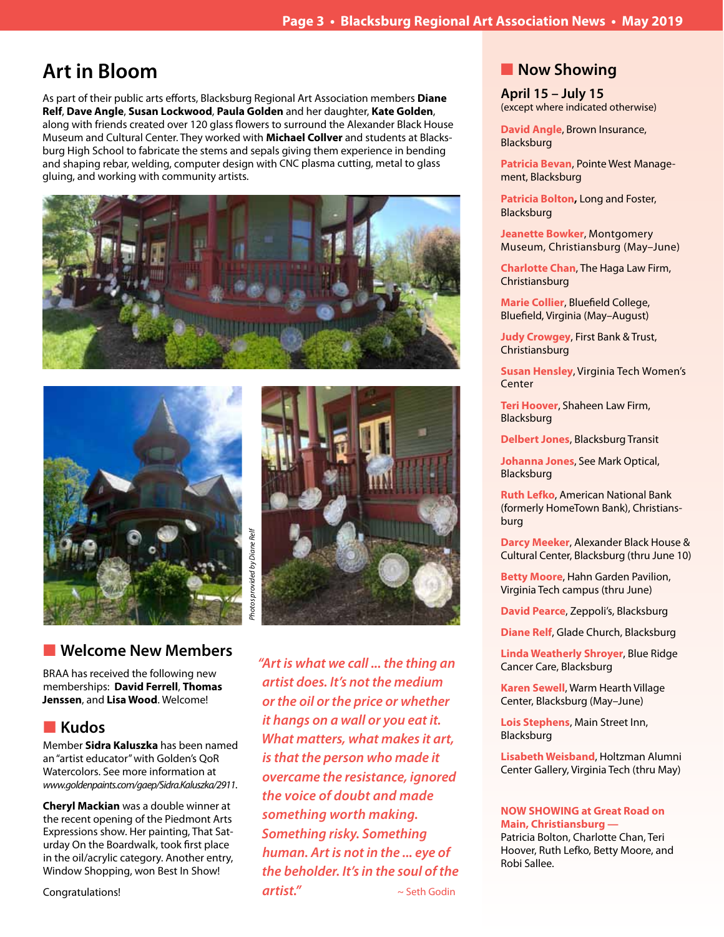# **Art in Bloom**

As part of their public arts efforts, Blacksburg Regional Art Association members **Diane Relf**, **Dave Angle**, **Susan Lockwood**, **Paula Golden** and her daughter, **Kate Golden**, along with friends created over 120 glass flowers to surround the Alexander Black House Museum and Cultural Center. They worked with **Michael Collver** and students at Blacksburg High School to fabricate the stems and sepals giving them experience in bending and shaping rebar, welding, computer design with CNC plasma cutting, metal to glass gluing, and working with community artists.







# **N** Welcome New Members

BRAA has received the following new memberships: **David Ferrell**, **Thomas Jenssen**, and **Lisa Wood**. Welcome!

# **n** Kudos

Member **Sidra Kaluszka** has been named an "artist educator" with Golden's QoR Watercolors. See more information at *www.goldenpaints.com/gaep/Sidra.Kaluszka/2911*.

**Cheryl Mackian** was a double winner at the recent opening of the Piedmont Arts Expressions show. Her painting, That Saturday On the Boardwalk, took first place in the oil/acrylic category. Another entry, Window Shopping, won Best In Show!

Congratulations!

*"Art is what we call ... the thing an artist does. It's not the medium or the oil or the price or whether it hangs on a wall or you eat it. What matters, what makes it art, is that the person who made it overcame the resistance, ignored the voice of doubt and made something worth making. Something risky. Something human. Art is not in the ... eye of the beholder. It's in the soul of the*  **artist."**  $\sim$  Seth Godin

# **Now Showing**

**April 15 – July 15** (except where indicated otherwise)

**David Angle**, Brown Insurance, Blacksburg

**Patricia Bevan**, Pointe West Management, Blacksburg

**Patricia Bolton,** Long and Foster, Blacksburg

**Jeanette Bowker**, Montgomery Museum, Christiansburg (May–June)

**Charlotte Chan**, The Haga Law Firm, Christiansburg

**Marie Collier**, Bluefield College, Bluefield, Virginia (May–August)

**Judy Crowgey**, First Bank & Trust, Christiansburg

**Susan Hensley**, Virginia Tech Women's **Center** 

**Teri Hoover**, Shaheen Law Firm, Blacksburg

**Delbert Jones**, Blacksburg Transit

**Johanna Jones**, See Mark Optical, Blacksburg

**Ruth Lefko**, American National Bank (formerly HomeTown Bank), Christiansburg

**Darcy Meeker**, Alexander Black House & Cultural Center, Blacksburg (thru June 10)

**Betty Moore**, Hahn Garden Pavilion, Virginia Tech campus (thru June)

**David Pearce**, Zeppoli's, Blacksburg

**Diane Relf**, Glade Church, Blacksburg

**Linda Weatherly Shroyer**, Blue Ridge Cancer Care, Blacksburg

**Karen Sewell**, Warm Hearth Village Center, Blacksburg (May–June)

**Lois Stephens**, Main Street Inn, Blacksburg

**Lisabeth Weisband**, Holtzman Alumni Center Gallery, Virginia Tech (thru May)

#### **NOW SHOWING at Great Road on Main, Christiansburg —**

Patricia Bolton, Charlotte Chan, Teri Hoover, Ruth Lefko, Betty Moore, and Robi Sallee.